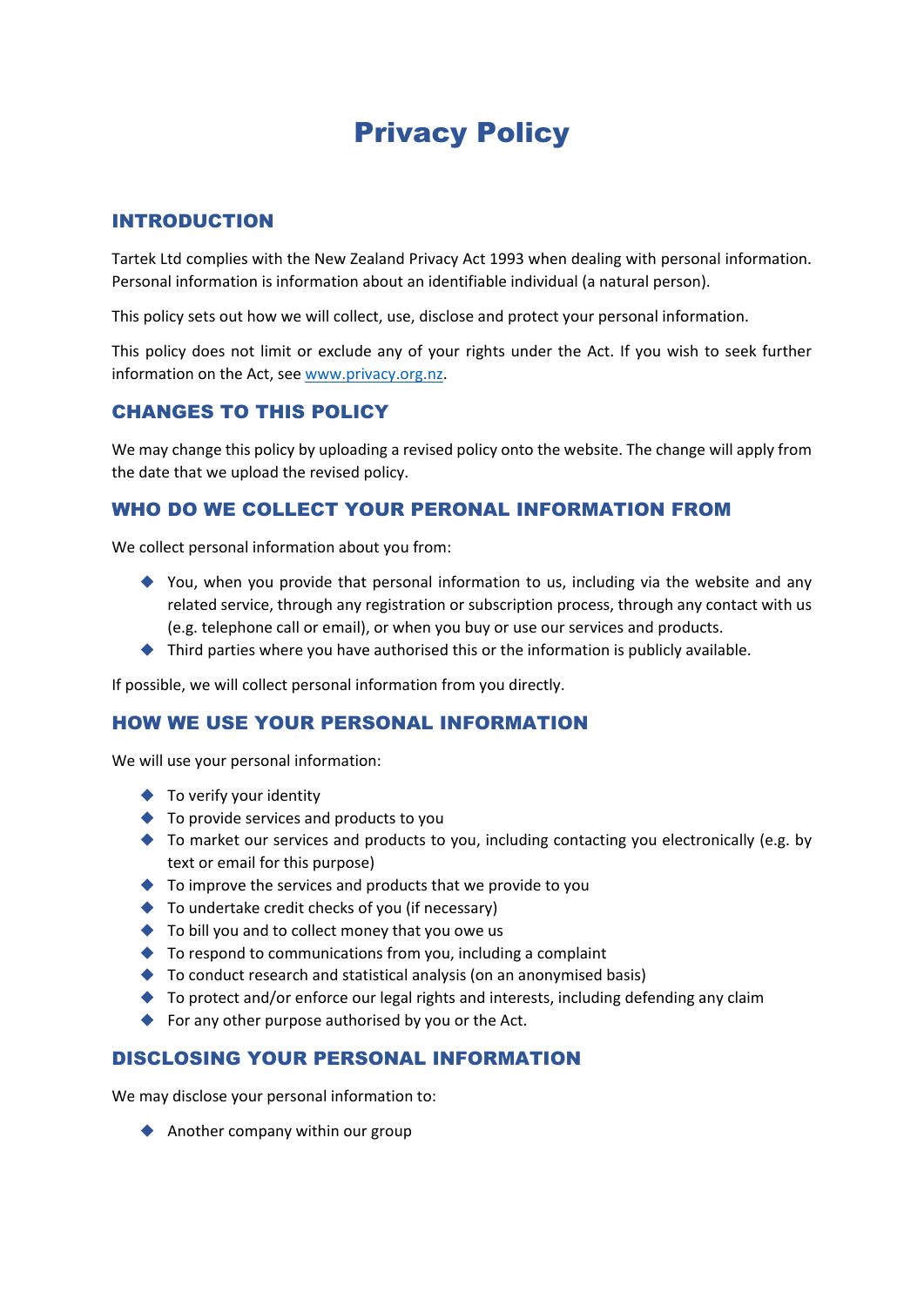# Privacy Policy

## INTRODUCTION

Tartek Ltd complies with the New Zealand Privacy Act 1993 when dealing with personal information. Personal information is information about an identifiable individual (a natural person).

This policy sets out how we will collect, use, disclose and protect your personal information.

This policy does not limit or exclude any of your rights under the Act. If you wish to seek further information on the Act, see www.privacy.org.nz.

## CHANGES TO THIS POLICY

We may change this policy by uploading a revised policy onto the website. The change will apply from the date that we upload the revised policy.

## WHO DO WE COLLECT YOUR PERONAL INFORMATION FROM

We collect personal information about you from:

- You, when you provide that personal information to us, including via the website and any related service, through any registration or subscription process, through any contact with us (e.g. telephone call or email), or when you buy or use our services and products.
- $\blacklozenge$  Third parties where you have authorised this or the information is publicly available.

If possible, we will collect personal information from you directly.

### HOW WE USE YOUR PERSONAL INFORMATION

We will use your personal information:

- ◆ To verify your identity
- ◆ To provide services and products to you
- $\blacklozenge$  To market our services and products to you, including contacting you electronically (e.g. by text or email for this purpose)
- ◆ To improve the services and products that we provide to you
- ◆ To undertake credit checks of you (if necessary)
- ◆ To bill you and to collect money that you owe us
- $\blacklozenge$  To respond to communications from you, including a complaint
- ◆ To conduct research and statistical analysis (on an anonymised basis)
- ◆ To protect and/or enforce our legal rights and interests, including defending any claim
- ◆ For any other purpose authorised by you or the Act.

### DISCLOSING YOUR PERSONAL INFORMATION

We may disclose your personal information to:

Another company within our group